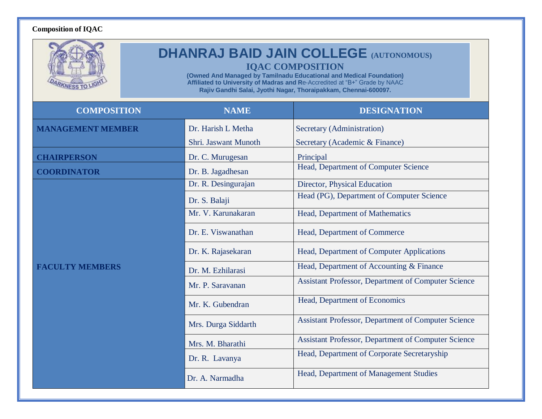## **Composition of IQAC**

|                          | <b>DHANRAJ BAID JAIN COLLEGE (AUTONOMOUS)</b><br><b>IQAC COMPOSITION</b><br>(Owned And Managed by Tamilnadu Educational and Medical Foundation)<br>Affiliated to University of Madras and Re-Accredited at "B+" Grade by NAAC<br>Rajiv Gandhi Salai, Jyothi Nagar, Thoraipakkam, Chennai-600097. |                                                            |  |
|--------------------------|--------------------------------------------------------------------------------------------------------------------------------------------------------------------------------------------------------------------------------------------------------------------------------------------------|------------------------------------------------------------|--|
| <b>COMPOSITION</b>       | <b>NAME</b>                                                                                                                                                                                                                                                                                      | <b>DESIGNATION</b>                                         |  |
| <b>MANAGEMENT MEMBER</b> | Dr. Harish L Metha                                                                                                                                                                                                                                                                               | Secretary (Administration)                                 |  |
|                          | Shri. Jaswant Munoth                                                                                                                                                                                                                                                                             | Secretary (Academic & Finance)                             |  |
| <b>CHAIRPERSON</b>       | Dr. C. Murugesan                                                                                                                                                                                                                                                                                 | Principal                                                  |  |
| <b>COORDINATOR</b>       | Dr. B. Jagadhesan                                                                                                                                                                                                                                                                                | Head, Department of Computer Science                       |  |
| FACULTY MEMBERS          | Dr. R. Desingurajan                                                                                                                                                                                                                                                                              | Director, Physical Education                               |  |
|                          | Dr. S. Balaji                                                                                                                                                                                                                                                                                    | Head (PG), Department of Computer Science                  |  |
|                          | Mr. V. Karunakaran                                                                                                                                                                                                                                                                               | Head, Department of Mathematics                            |  |
|                          | Dr. E. Viswanathan                                                                                                                                                                                                                                                                               | Head, Department of Commerce                               |  |
|                          | Dr. K. Rajasekaran                                                                                                                                                                                                                                                                               | Head, Department of Computer Applications                  |  |
|                          | Dr. M. Ezhilarasi                                                                                                                                                                                                                                                                                | Head, Department of Accounting & Finance                   |  |
|                          | Mr. P. Saravanan                                                                                                                                                                                                                                                                                 | <b>Assistant Professor, Department of Computer Science</b> |  |
|                          | Mr. K. Gubendran                                                                                                                                                                                                                                                                                 | Head, Department of Economics                              |  |
|                          | Mrs. Durga Siddarth                                                                                                                                                                                                                                                                              | Assistant Professor, Department of Computer Science        |  |
|                          | Mrs. M. Bharathi                                                                                                                                                                                                                                                                                 | Assistant Professor, Department of Computer Science        |  |
|                          | Dr. R. Lavanya                                                                                                                                                                                                                                                                                   | Head, Department of Corporate Secretaryship                |  |
|                          | Dr. A. Narmadha                                                                                                                                                                                                                                                                                  | Head, Department of Management Studies                     |  |